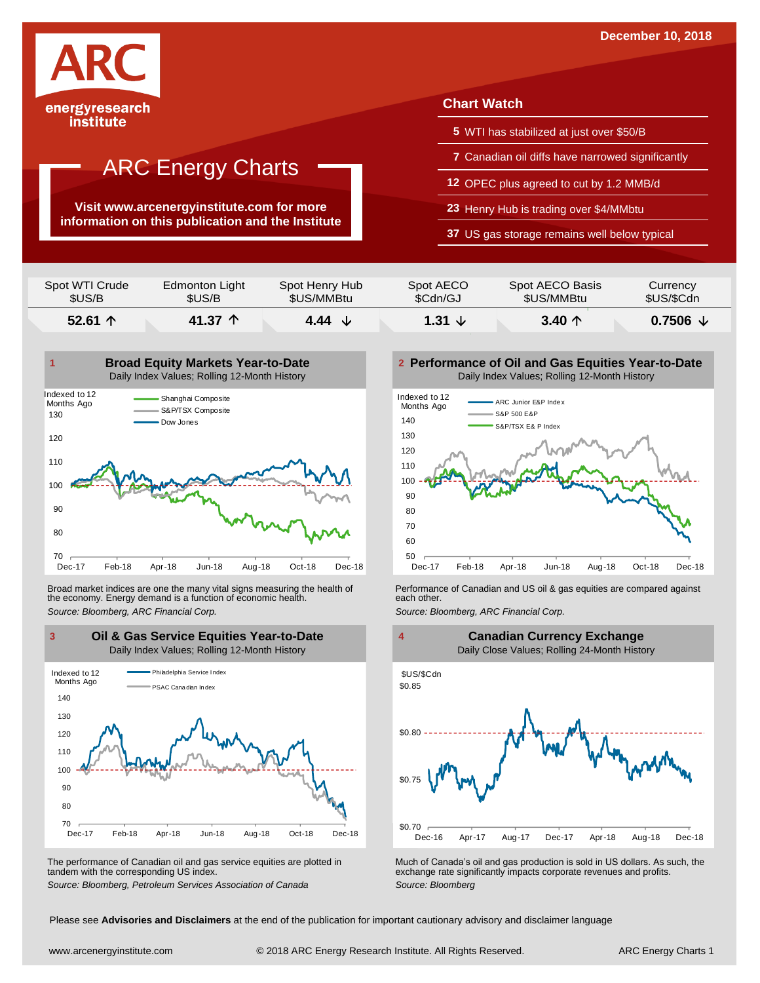

## institute

# ARC Energy Charts

**Visit www.arcenergyinstitute.com for more information on this publication and the Institute**

## **Chart Watch**

- **5** WTI has stabilized at just over \$50/B
- **7** Canadian oil diffs have narrowed significantly
- **12** OPEC plus agreed to cut by 1.2 MMB/d
- **23** Henry Hub is trading over \$4/MMbtu
- **37** US gas storage remains well below typical

| \$US/B<br>52.61 $\uparrow$ | \$US/B<br>41.37 $\uparrow$ | \$US/MMBtu     | \$Cdn/GJ  | \$US/MMBtu      | \$US/\$Cdn<br>$0.7506 \; \downarrow$ |
|----------------------------|----------------------------|----------------|-----------|-----------------|--------------------------------------|
| Spot WTI Crude             | Edmonton Light             | Spot Henry Hub | Spot AECO | Spot AECO Basis | Currency                             |



Broad market indices are one the many vital signs measuring the health of the economy. Energy demand is a function of economic health. Broad market indices are one the many vital signs measuring the health of **Full and Performance of Canadian and US** oil & gas equities are compared against the economy. Energy demand is a function of economic health.<br>Sourc



The performance of Canadian oil and gas service equities are plotted in tandem with the corresponding US index.

**Performance of Oil and Gas Equities Year-to-Date** Daily Index Values; Rolling 12-Month History





The performance of Canadian oil and gas service equities are plotted in Much of Canada's oil and gas production is sold in US dollars. As such, the exchange rate significantly impacts corporate revenues and profits.<br>Source

Please see **Advisories and Disclaimers** at the end of the publication for important cautionary advisory and disclaimer language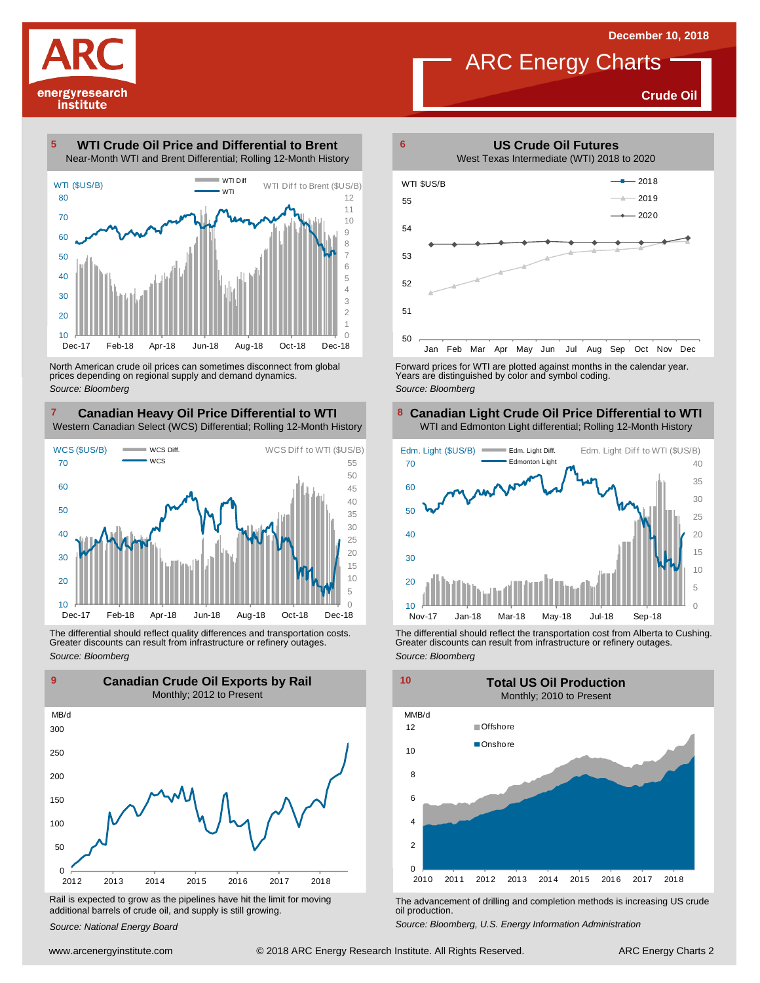

**Crude Oil**

**WTI Crude Oil Price and Differential to Brent** Near-Month WTI and Brent Differential; Rolling 12-Month History 



North American crude oil prices can sometimes disconnect from global prices depending on regional supply and demand dynamics. *Source: Bloomberg*

#### **Canadian Heavy Oil Price Differential to WTI 8** Western Canadian Select (WCS) Differential; Rolling 12-Month History



The differential should reflect quality differences and transportation costs. Greater discounts can result from infrastructure or refinery outages. *Source: Bloomberg*



Rail is expected to grow as the pipelines have hit the limit for moving additional barrels of crude oil, and supply is still growing.

*Source: National Energy Board*



Forward prices for WTI are plotted against months in the calendar year. Years are distinguished by color and symbol coding. *Source: Bloomberg*

#### **Canadian Light Crude Oil Price Differential to WTI** WTI and Edmonton Light differential; Rolling 12-Month History



The differential should reflect the transportation cost from Alberta to Cushing. Greater discounts can result from infrastructure or refinery outages. *Source: Bloomberg*



The advancement of drilling and completion methods is increasing US crude oil production.

*Source: Bloomberg, U.S. Energy Information Administration*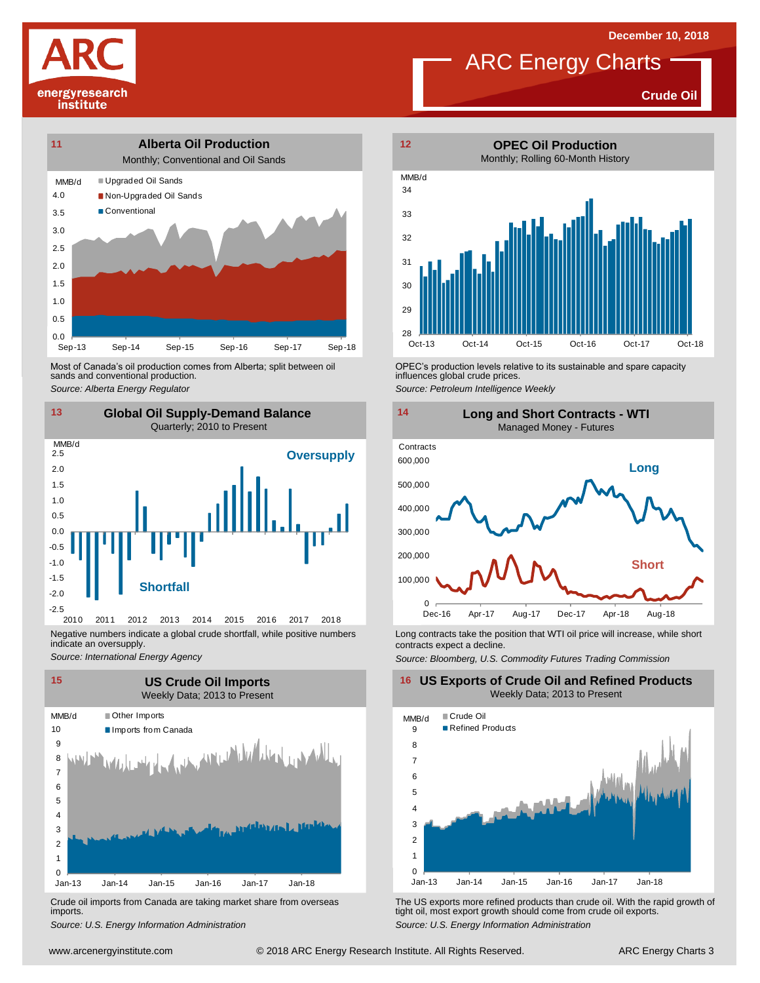**Crude Oil**





Most of Canada's oil production comes from Alberta; split between oil sands and conventional production. Most of Canada's oil production comes from Alberta; split between oil **Source:** OPEC's production levels relative to its sustainable and spare capacity<br>
Source: Alberta *Energy Regulator*<br>
Source: Petroleum Intelligence We



Negative numbers indicate a global crude shortfall, while positive numbers indicate an oversupply.

*Source: International Energy Agency*



Crude oil imports from Canada are taking market share from overseas imports.



ARC Energy Charts



influences global crude prices.

*Source: Petroleum Intelligence Weekly*



Long contracts take the position that WTI oil price will increase, while short contracts expect a decline.

*Source: Bloomberg, U.S. Commodity Futures Trading Commission*

**16 US Exports of Crude Oil and Refined Products** Weekly Data; 2013 to Present



Um-13 Jan-14 Jan-15 Jan-16 Jan-17 Jan-18<br>
Crude oil imports from Canada are taking market share from overseas<br>
imports.<br>
Source: U.S. Energy Information Administration<br>
www.arcenergyinstitute.com © 2018 ARC Energy Research *S*rude oil imports from Canada are taking market share from overseas The US exports more refined products than crude oil. With the rapid growth of imports.<br> *Source: U.S. Energy Information Administration*<br>
Source: U.S. E tight oil, most export growth should come from crude oil exports. *Source: U.S. Energy Information Administration*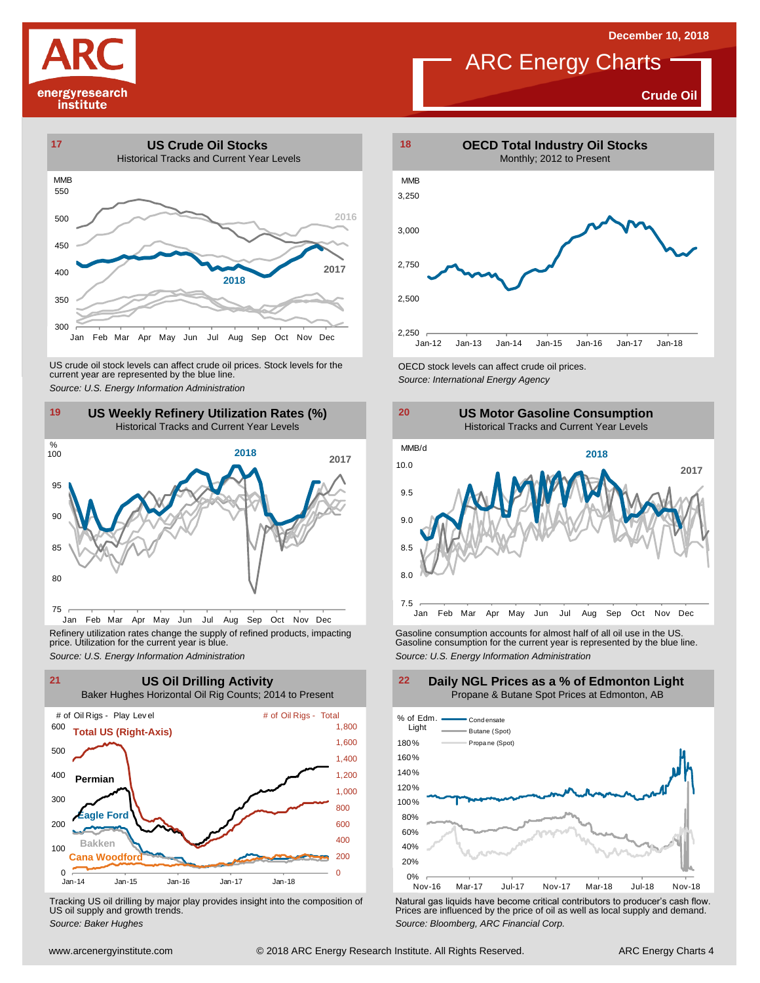**Crude Oil**

# energyresearch institute





Jan Feb Mar Apr May Jun Jul Aug Sep Oct Nov Dec Refinery utilization rates change the supply of refined products, impacting price. Utilization for the current year is blue.



Tracking US oil drilling by major play provides insight into the composition of US oil supply and growth trends.



ARC Energy Charts



Refinery utilization rates change the supply of refined products, impacting<br>
price. Utilization for the current year is blue.<br>
Source: U.S. Energy Information Administration<br>
Source: U.S. Energy Information Administration<br>



Tracking US oil drilling by major play provides insight into the composition of<br>US oil supply and growth trends.<br>Source: Baker Hughes<br>Source: Baker Hughes

### **Daily NGL Prices as a % of Edmonton Light** Propane & Butane Spot Prices at Edmonton, AB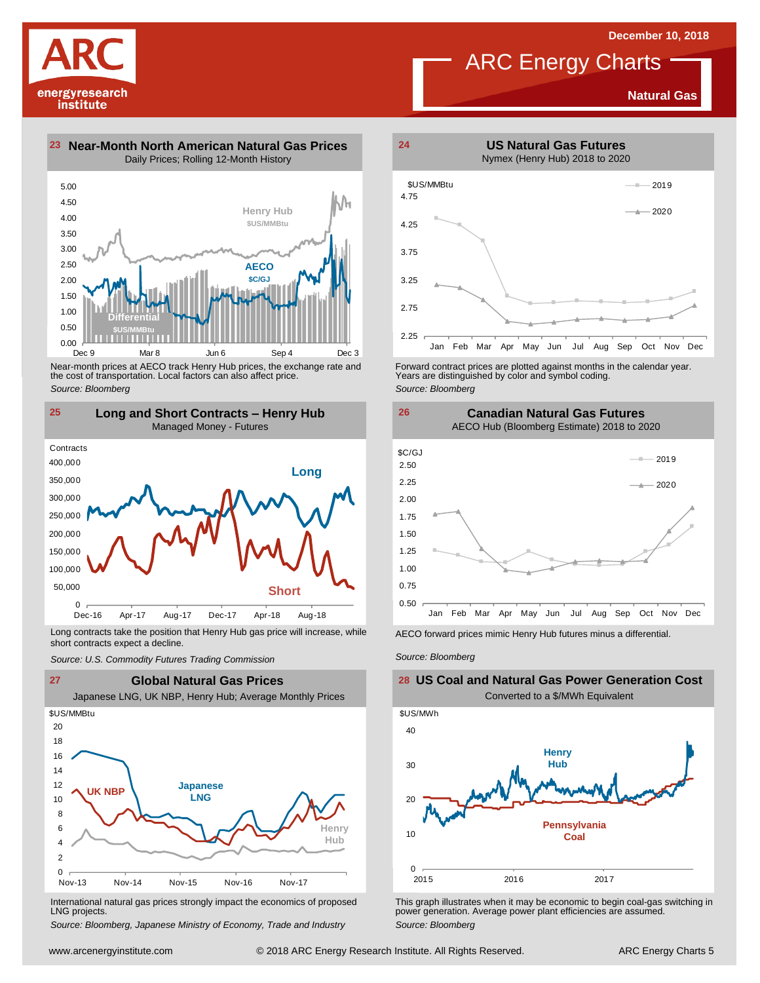**US Natural Gas Futures**

**Natural Gas**

energyresearch institute

**23 Near-Month North American Natural Gas Prices 24** Daily Prices; Rolling 12-Month History



Near-month prices at AECO track Henry Hub prices, the exchange rate and the cost of transportation. Local factors can also affect price. *Source: Bloomberg*



Long contracts take the position that Henry Hub gas price will increase, while short contracts expect a decline. *Source: U.S. Commodity Futures Trading Commission* AECO forward prices mimic Henry Hub futures minus <sup>a</sup> differential. *Source: Bloomberg*



International natural gas prices strongly impact the economics of proposed LNG projects.

*Source: Bloomberg, Japanese Ministry of Economy, Trade and Industry*



Forward contract prices are plotted against months in the calendar year.<br>Years are distinguished by color and symbol coding. *Source: Bloomberg*





## **US Coal and Natural Gas Power Generation Cost** Converted to a \$/MWh Equivalent



This graph illustrates when it may be economic to begin coal-gas switching in power generation. Average power plant efficiencies are assumed. *Source: Bloomberg*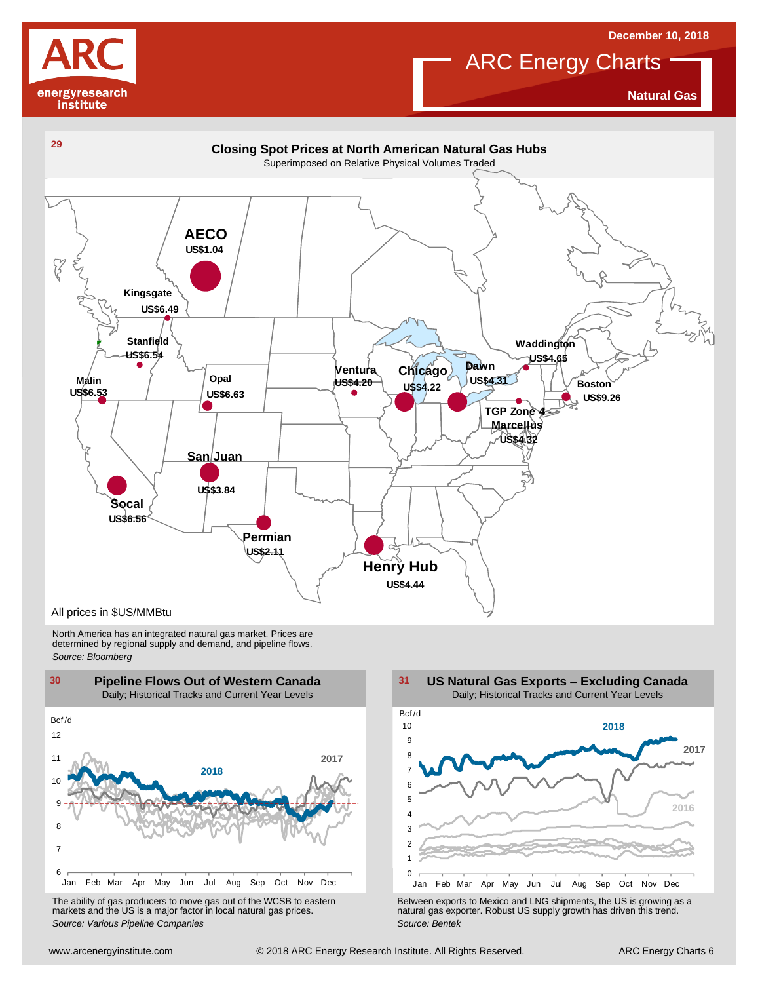

## **ARC Energy Charts December 10, 2018**

**Natural Gas**



North America has an integrated natural gas market. Prices are determined by regional supply and demand, and pipeline flows. *Source: Bloomberg*



The ability of gas producers to move gas out of the WCSB to eastern markets and the US is <sup>a</sup> major factor in local natural gas prices.

1 2 3 4 5 6 7 8  $\overline{9}$ 10 Jan Feb Mar Apr May Jun Jul Aug Sep Oct Nov Dec Bcf /d **US Natural Gas Exports – Excluding Canada** Daily; Historical Tracks and Current Year Levels **2017 2016 2018**

Using the Marchine Mar Apr May Jun Jul Aug Sep Oct Nov Dec The ability of gas producers to move gas out of the WCSB to eastern<br>
markets and the US is a major factor in local natural gas prices.<br>
Source: Various Pipeline Co The ability of gas producers to move gas out of the WCSB to eastern<br>
markets and the US is a major factor in local natural gas prices.<br>
Source: Various Pipeline Companies<br>
Source: Bentek<br>
Source: Bentek<br>
Source: Bentek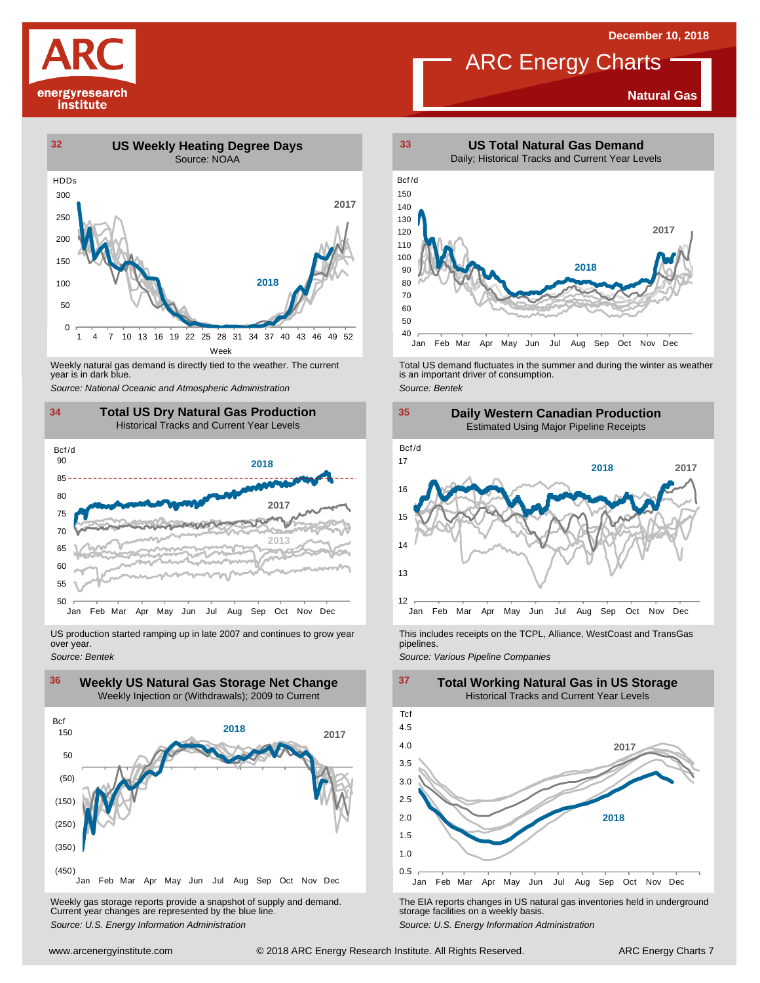# energyresearch institute

## ARC Energy Charts

**Natural Gas**



year is in dark blue.



US production started ramping up in late 2007 and continues to grow year over year. *Source: Bentek*



Weekly gas storage reports provide <sup>a</sup> snapshot of supply and demand. Current year changes are represented by the blue line. Weekly gas storage reports provide a snapshot of supply and demand.<br>
The EIA reports changes in US natural gas inventories held in underground<br>
Source: U.S. Energy Information Administration<br>
Source: U.S. Energy Informatio



Weekly natural gas demand is directly tied to the weather. The current<br>
year is in dark blue.<br>
Source: National Oceanic and Atmospheric Administration<br>
Source: Bentek<br>
Source: Bentek





This includes receipts on the TCPL, Alliance, WestCoast and TransGas pipelines.

**Total Working Natural Gas in US Storage**

*Source: Various Pipeline Companies*

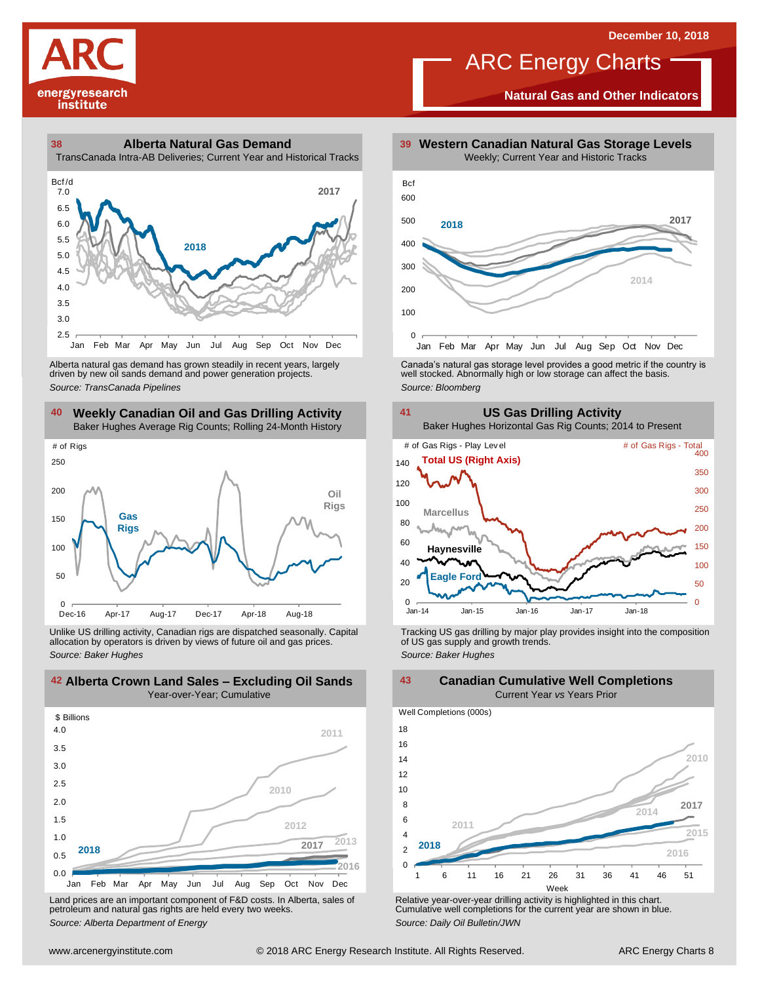

**Natural Gas and Other Indicators**





driven by new oil sands demand and power generation projects.

### **40 41 Weekly Canadian Oil and Gas Drilling Activity** Baker Hughes Average Rig Counts; Rolling 24-Month History



Unlike US drilling activity, Canadian rigs are dispatched seasonally. Capital allocation by operators is driven by views of future oil and gas prices. *Source: Baker Hughes* Tracking US gas drilling by major play provides insight into the composition of US gas supply and growth trends. *Source: Baker Hughes*



Land prices are an important component of F&D costs. In Alberta, sales of petroleum and natural gas rights are held every two weeks. *Source: Alberta Department of Energy*



Alberta natural gas demand has grown steadily in recent years, largely **canada's natural gas storage level provid**es a good metric if the country is driven by new oil sands demand and power generation projects.<br>And the sto



**42 43 Alberta Crown Land Sales – Excluding Oil Sands Canadian Cumulative Well Completions** Current Year *vs* Years Prior





Relative year-over-year drilling activity is highlighted in this chart. Cumulative well completions for the current year are shown in blue. *Source: Daily Oil Bulletin/JWN*